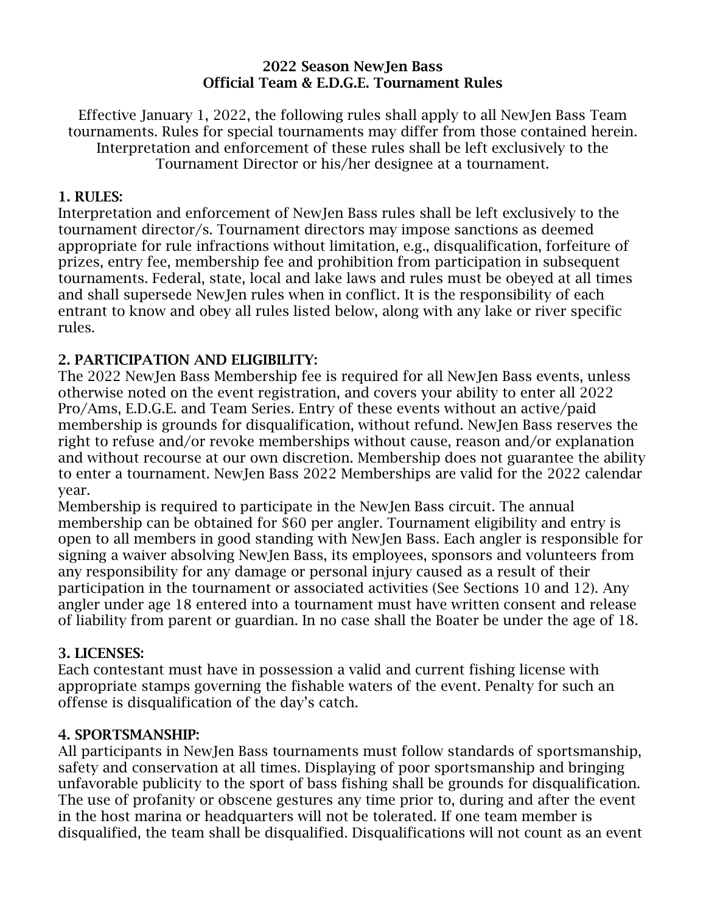### 2022 Season NewJen Bass Official Team & E.D.G.E. Tournament Rules

Effective January 1, 2022, the following rules shall apply to all NewJen Bass Team tournaments. Rules for special tournaments may differ from those contained herein. Interpretation and enforcement of these rules shall be left exclusively to the Tournament Director or his/her designee at a tournament.

### 1. RULES:

Interpretation and enforcement of NewJen Bass rules shall be left exclusively to the tournament director/s. Tournament directors may impose sanctions as deemed appropriate for rule infractions without limitation, e.g., disqualification, forfeiture of prizes, entry fee, membership fee and prohibition from participation in subsequent tournaments. Federal, state, local and lake laws and rules must be obeyed at all times and shall supersede NewJen rules when in conflict. It is the responsibility of each entrant to know and obey all rules listed below, along with any lake or river specific rules.

# 2. PARTICIPATION AND ELIGIBILITY:

The 2022 NewJen Bass Membership fee is required for all NewJen Bass events, unless otherwise noted on the event registration, and covers your ability to enter all 2022 Pro/Ams, E.D.G.E. and Team Series. Entry of these events without an active/paid membership is grounds for disqualification, without refund. NewJen Bass reserves the right to refuse and/or revoke memberships without cause, reason and/or explanation and without recourse at our own discretion. Membership does not guarantee the ability to enter a tournament. NewJen Bass 2022 Memberships are valid for the 2022 calendar year.

Membership is required to participate in the NewJen Bass circuit. The annual membership can be obtained for \$60 per angler. Tournament eligibility and entry is open to all members in good standing with NewJen Bass. Each angler is responsible for signing a waiver absolving NewJen Bass, its employees, sponsors and volunteers from any responsibility for any damage or personal injury caused as a result of their participation in the tournament or associated activities (See Sections 10 and 12). Any angler under age 18 entered into a tournament must have written consent and release of liability from parent or guardian. In no case shall the Boater be under the age of 18.

### 3. LICENSES:

Each contestant must have in possession a valid and current fishing license with appropriate stamps governing the fishable waters of the event. Penalty for such an offense is disqualification of the day's catch.

### 4. SPORTSMANSHIP:

All participants in NewJen Bass tournaments must follow standards of sportsmanship, safety and conservation at all times. Displaying of poor sportsmanship and bringing unfavorable publicity to the sport of bass fishing shall be grounds for disqualification. The use of profanity or obscene gestures any time prior to, during and after the event in the host marina or headquarters will not be tolerated. If one team member is disqualified, the team shall be disqualified. Disqualifications will not count as an event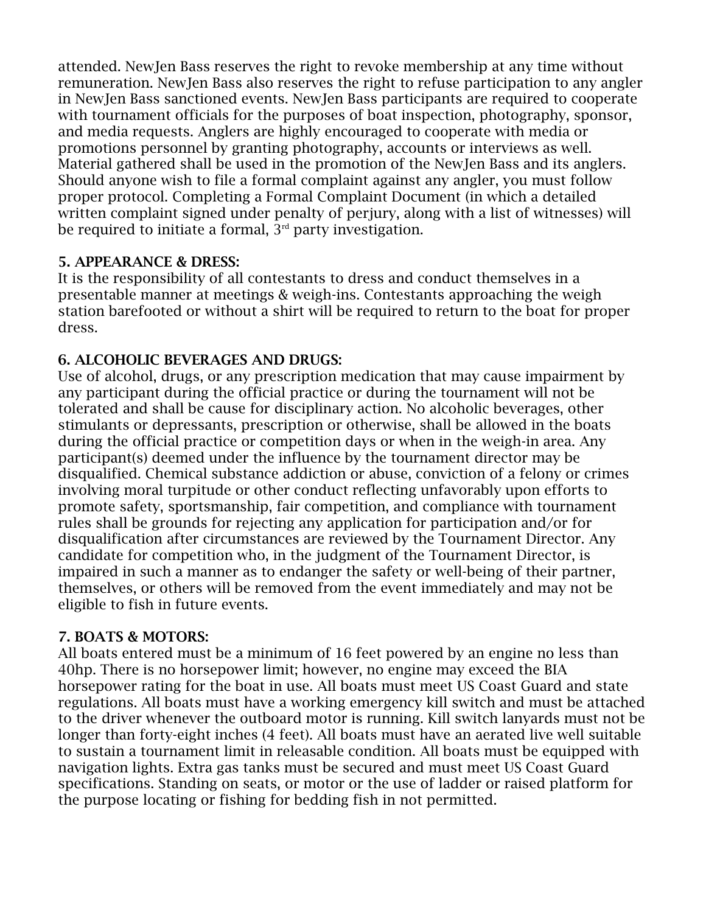attended. NewJen Bass reserves the right to revoke membership at any time without remuneration. NewJen Bass also reserves the right to refuse participation to any angler in NewJen Bass sanctioned events. NewJen Bass participants are required to cooperate with tournament officials for the purposes of boat inspection, photography, sponsor, and media requests. Anglers are highly encouraged to cooperate with media or promotions personnel by granting photography, accounts or interviews as well. Material gathered shall be used in the promotion of the NewJen Bass and its anglers. Should anyone wish to file a formal complaint against any angler, you must follow proper protocol. Completing a Formal Complaint Document (in which a detailed written complaint signed under penalty of perjury, along with a list of witnesses) will be required to initiate a formal,  $3<sup>rd</sup>$  party investigation.

# 5. APPEARANCE & DRESS:

It is the responsibility of all contestants to dress and conduct themselves in a presentable manner at meetings & weigh-ins. Contestants approaching the weigh station barefooted or without a shirt will be required to return to the boat for proper dress.

# 6. ALCOHOLIC BEVERAGES AND DRUGS:

Use of alcohol, drugs, or any prescription medication that may cause impairment by any participant during the official practice or during the tournament will not be tolerated and shall be cause for disciplinary action. No alcoholic beverages, other stimulants or depressants, prescription or otherwise, shall be allowed in the boats during the official practice or competition days or when in the weigh-in area. Any participant(s) deemed under the influence by the tournament director may be disqualified. Chemical substance addiction or abuse, conviction of a felony or crimes involving moral turpitude or other conduct reflecting unfavorably upon efforts to promote safety, sportsmanship, fair competition, and compliance with tournament rules shall be grounds for rejecting any application for participation and/or for disqualification after circumstances are reviewed by the Tournament Director. Any candidate for competition who, in the judgment of the Tournament Director, is impaired in such a manner as to endanger the safety or well-being of their partner, themselves, or others will be removed from the event immediately and may not be eligible to fish in future events.

### 7. BOATS & MOTORS:

All boats entered must be a minimum of 16 feet powered by an engine no less than 40hp. There is no horsepower limit; however, no engine may exceed the BIA horsepower rating for the boat in use. All boats must meet US Coast Guard and state regulations. All boats must have a working emergency kill switch and must be attached to the driver whenever the outboard motor is running. Kill switch lanyards must not be longer than forty-eight inches (4 feet). All boats must have an aerated live well suitable to sustain a tournament limit in releasable condition. All boats must be equipped with navigation lights. Extra gas tanks must be secured and must meet US Coast Guard specifications. Standing on seats, or motor or the use of ladder or raised platform for the purpose locating or fishing for bedding fish in not permitted.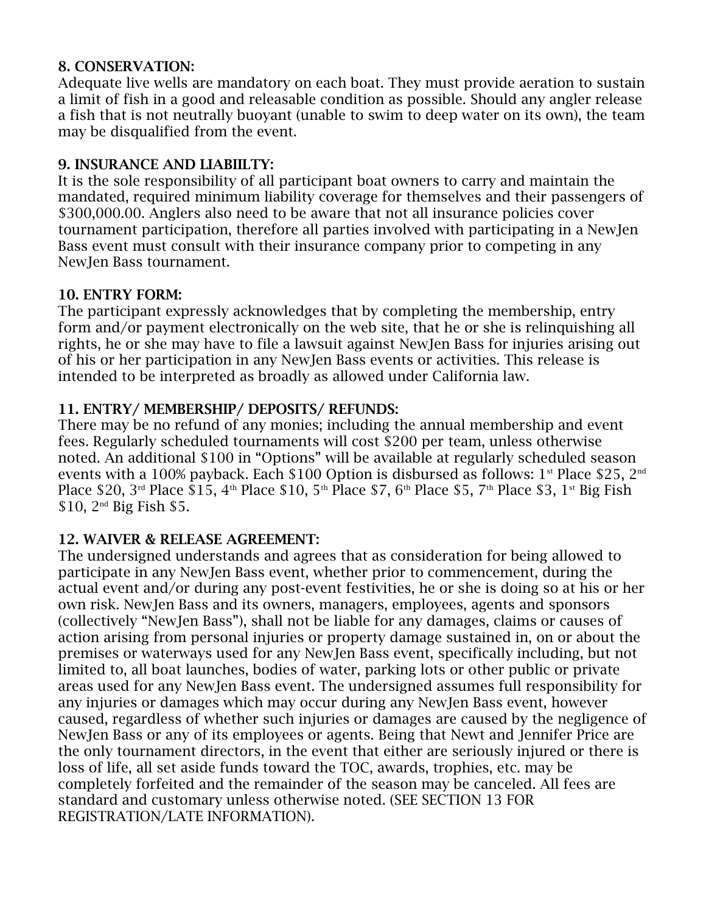### 8. CONSERVATION:

Adequate live wells are mandatory on each boat. They must provide aeration to sustain a limit of fish in a good and releasable condition as possible. Should any angler release a fish that is not neutrally buoyant (unable to swim to deep water on its own), the team may be disqualified from the event.

## 9. INSURANCE AND LIABIILTY:

It is the sole responsibility of all participant boat owners to carry and maintain the mandated, required minimum liability coverage for themselves and their passengers of \$300,000.00. Anglers also need to be aware that not all insurance policies cover tournament participation, therefore all parties involved with participating in a NewJen Bass event must consult with their insurance company prior to competing in any NewJen Bass tournament.

### 10. ENTRY FORM:

The participant expressly acknowledges that by completing the membership, entry form and/or payment electronically on the web site, that he or she is relinquishing all rights, he or she may have to file a lawsuit against NewJen Bass for injuries arising out of his or her participation in any NewJen Bass events or activities. This release is intended to be interpreted as broadly as allowed under California law.

# 11. ENTRY/ MEMBERSHIP/ DEPOSITS/ REFUNDS:

There may be no refund of any monies; including the annual membership and event fees. Regularly scheduled tournaments will cost \$200 per team, unless otherwise noted. An additional \$100 in "Options" will be available at regularly scheduled season events with a 100% payback. Each \$100 Option is disbursed as follows:  $1^{st}$  Place \$25,  $2^{nd}$ Place \$20, 3<sup>rd</sup> Place \$15, 4<sup>th</sup> Place \$10, 5<sup>th</sup> Place \$7, 6<sup>th</sup> Place \$5, 7<sup>th</sup> Place \$3, 1<sup>st</sup> Big Fish  $$10, 2<sup>nd</sup>$  Big Fish \$5.

### 12. WAIVER & RELEASE AGREEMENT:

The undersigned understands and agrees that as consideration for being allowed to participate in any NewJen Bass event, whether prior to commencement, during the actual event and/or during any post-event festivities, he or she is doing so at his or her own risk. NewJen Bass and its owners, managers, employees, agents and sponsors (collectively "NewJen Bass"), shall not be liable for any damages, claims or causes of action arising from personal injuries or property damage sustained in, on or about the premises or waterways used for any NewJen Bass event, specifically including, but not limited to, all boat launches, bodies of water, parking lots or other public or private areas used for any NewJen Bass event. The undersigned assumes full responsibility for any injuries or damages which may occur during any NewJen Bass event, however caused, regardless of whether such injuries or damages are caused by the negligence of NewJen Bass or any of its employees or agents. Being that Newt and Jennifer Price are the only tournament directors, in the event that either are seriously injured or there is loss of life, all set aside funds toward the TOC, awards, trophies, etc. may be completely forfeited and the remainder of the season may be canceled. All fees are standard and customary unless otherwise noted. (SEE SECTION 13 FOR REGISTRATION/LATE INFORMATION).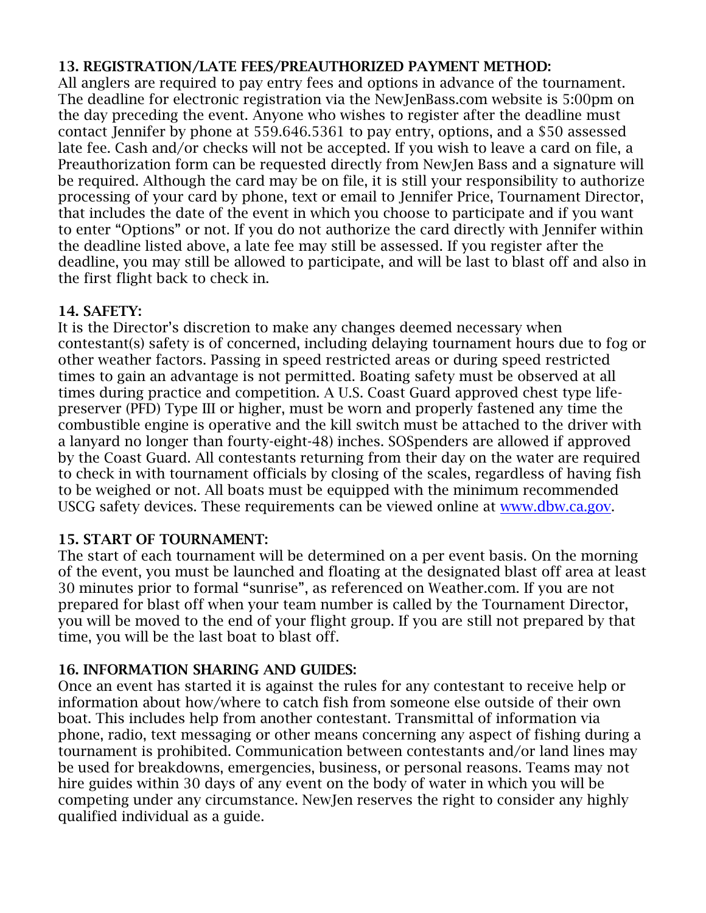# 13. REGISTRATION/LATE FEES/PREAUTHORIZED PAYMENT METHOD:

All anglers are required to pay entry fees and options in advance of the tournament. The deadline for electronic registration via the NewJenBass.com website is 5:00pm on the day preceding the event. Anyone who wishes to register after the deadline must contact Jennifer by phone at 559.646.5361 to pay entry, options, and a \$50 assessed late fee. Cash and/or checks will not be accepted. If you wish to leave a card on file, a Preauthorization form can be requested directly from NewJen Bass and a signature will be required. Although the card may be on file, it is still your responsibility to authorize processing of your card by phone, text or email to Jennifer Price, Tournament Director, that includes the date of the event in which you choose to participate and if you want to enter "Options" or not. If you do not authorize the card directly with Jennifer within the deadline listed above, a late fee may still be assessed. If you register after the deadline, you may still be allowed to participate, and will be last to blast off and also in the first flight back to check in.

# 14. SAFETY:

It is the Director's discretion to make any changes deemed necessary when contestant(s) safety is of concerned, including delaying tournament hours due to fog or other weather factors. Passing in speed restricted areas or during speed restricted times to gain an advantage is not permitted. Boating safety must be observed at all times during practice and competition. A U.S. Coast Guard approved chest type lifepreserver (PFD) Type III or higher, must be worn and properly fastened any time the combustible engine is operative and the kill switch must be attached to the driver with a lanyard no longer than fourty-eight-48) inches. SOSpenders are allowed if approved by the Coast Guard. All contestants returning from their day on the water are required to check in with tournament officials by closing of the scales, regardless of having fish to be weighed or not. All boats must be equipped with the minimum recommended USCG safety devices. These requirements can be viewed online at [www.dbw.ca.gov.](http://www.dbw.ca.gov/)

### 15. START OF TOURNAMENT:

The start of each tournament will be determined on a per event basis. On the morning of the event, you must be launched and floating at the designated blast off area at least 30 minutes prior to formal "sunrise", as referenced on Weather.com. If you are not prepared for blast off when your team number is called by the Tournament Director, you will be moved to the end of your flight group. If you are still not prepared by that time, you will be the last boat to blast off.

# 16. INFORMATION SHARING AND GUIDES:

Once an event has started it is against the rules for any contestant to receive help or information about how/where to catch fish from someone else outside of their own boat. This includes help from another contestant. Transmittal of information via phone, radio, text messaging or other means concerning any aspect of fishing during a tournament is prohibited. Communication between contestants and/or land lines may be used for breakdowns, emergencies, business, or personal reasons. Teams may not hire guides within 30 days of any event on the body of water in which you will be competing under any circumstance. NewJen reserves the right to consider any highly qualified individual as a guide.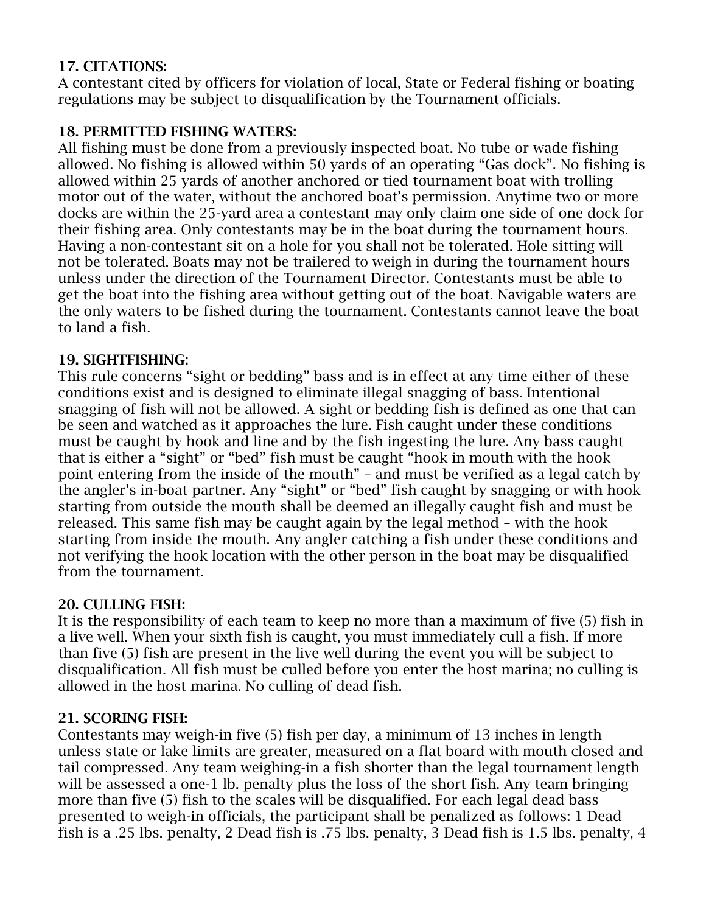# 17. CITATIONS:

A contestant cited by officers for violation of local, State or Federal fishing or boating regulations may be subject to disqualification by the Tournament officials.

# 18. PERMITTED FISHING WATERS:

All fishing must be done from a previously inspected boat. No tube or wade fishing allowed. No fishing is allowed within 50 yards of an operating "Gas dock". No fishing is allowed within 25 yards of another anchored or tied tournament boat with trolling motor out of the water, without the anchored boat's permission. Anytime two or more docks are within the 25-yard area a contestant may only claim one side of one dock for their fishing area. Only contestants may be in the boat during the tournament hours. Having a non-contestant sit on a hole for you shall not be tolerated. Hole sitting will not be tolerated. Boats may not be trailered to weigh in during the tournament hours unless under the direction of the Tournament Director. Contestants must be able to get the boat into the fishing area without getting out of the boat. Navigable waters are the only waters to be fished during the tournament. Contestants cannot leave the boat to land a fish.

# 19. SIGHTFISHING:

This rule concerns "sight or bedding" bass and is in effect at any time either of these conditions exist and is designed to eliminate illegal snagging of bass. Intentional snagging of fish will not be allowed. A sight or bedding fish is defined as one that can be seen and watched as it approaches the lure. Fish caught under these conditions must be caught by hook and line and by the fish ingesting the lure. Any bass caught that is either a "sight" or "bed" fish must be caught "hook in mouth with the hook point entering from the inside of the mouth" – and must be verified as a legal catch by the angler's in-boat partner. Any "sight" or "bed" fish caught by snagging or with hook starting from outside the mouth shall be deemed an illegally caught fish and must be released. This same fish may be caught again by the legal method – with the hook starting from inside the mouth. Any angler catching a fish under these conditions and not verifying the hook location with the other person in the boat may be disqualified from the tournament.

# 20. CULLING FISH:

It is the responsibility of each team to keep no more than a maximum of five (5) fish in a live well. When your sixth fish is caught, you must immediately cull a fish. If more than five (5) fish are present in the live well during the event you will be subject to disqualification. All fish must be culled before you enter the host marina; no culling is allowed in the host marina. No culling of dead fish.

# 21. SCORING FISH:

Contestants may weigh-in five (5) fish per day, a minimum of 13 inches in length unless state or lake limits are greater, measured on a flat board with mouth closed and tail compressed. Any team weighing-in a fish shorter than the legal tournament length will be assessed a one-1 lb. penalty plus the loss of the short fish. Any team bringing more than five (5) fish to the scales will be disqualified. For each legal dead bass presented to weigh-in officials, the participant shall be penalized as follows: 1 Dead fish is a .25 lbs. penalty, 2 Dead fish is .75 lbs. penalty, 3 Dead fish is 1.5 lbs. penalty, 4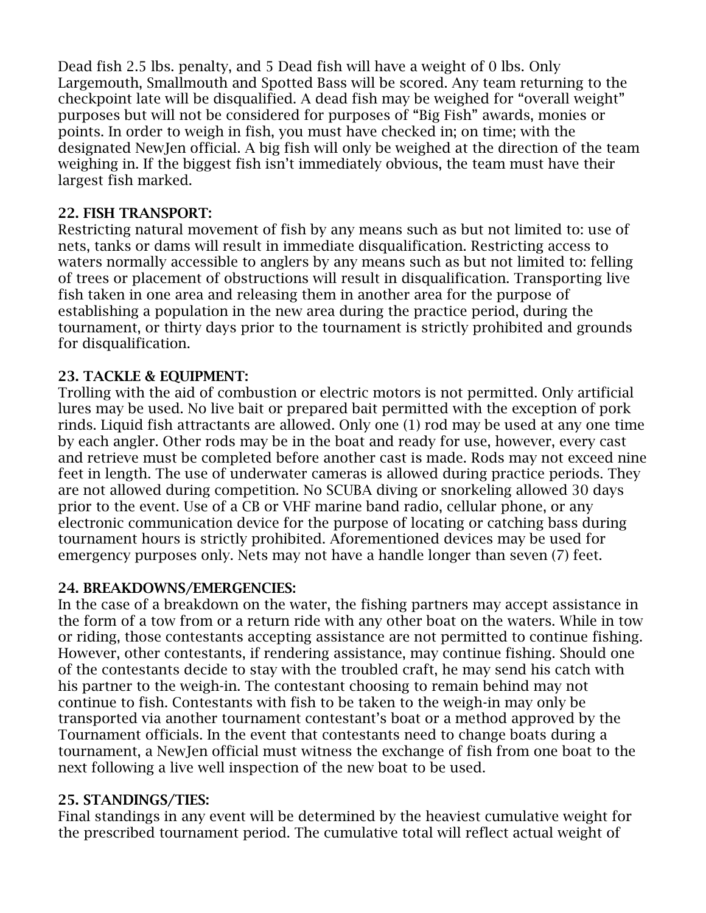Dead fish 2.5 lbs. penalty, and 5 Dead fish will have a weight of 0 lbs. Only Largemouth, Smallmouth and Spotted Bass will be scored. Any team returning to the checkpoint late will be disqualified. A dead fish may be weighed for "overall weight" purposes but will not be considered for purposes of "Big Fish" awards, monies or points. In order to weigh in fish, you must have checked in; on time; with the designated NewJen official. A big fish will only be weighed at the direction of the team weighing in. If the biggest fish isn't immediately obvious, the team must have their largest fish marked.

### 22. FISH TRANSPORT:

Restricting natural movement of fish by any means such as but not limited to: use of nets, tanks or dams will result in immediate disqualification. Restricting access to waters normally accessible to anglers by any means such as but not limited to: felling of trees or placement of obstructions will result in disqualification. Transporting live fish taken in one area and releasing them in another area for the purpose of establishing a population in the new area during the practice period, during the tournament, or thirty days prior to the tournament is strictly prohibited and grounds for disqualification.

# 23. TACKLE & EQUIPMENT:

Trolling with the aid of combustion or electric motors is not permitted. Only artificial lures may be used. No live bait or prepared bait permitted with the exception of pork rinds. Liquid fish attractants are allowed. Only one (1) rod may be used at any one time by each angler. Other rods may be in the boat and ready for use, however, every cast and retrieve must be completed before another cast is made. Rods may not exceed nine feet in length. The use of underwater cameras is allowed during practice periods. They are not allowed during competition. No SCUBA diving or snorkeling allowed 30 days prior to the event. Use of a CB or VHF marine band radio, cellular phone, or any electronic communication device for the purpose of locating or catching bass during tournament hours is strictly prohibited. Aforementioned devices may be used for emergency purposes only. Nets may not have a handle longer than seven (7) feet.

### 24. BREAKDOWNS/EMERGENCIES:

In the case of a breakdown on the water, the fishing partners may accept assistance in the form of a tow from or a return ride with any other boat on the waters. While in tow or riding, those contestants accepting assistance are not permitted to continue fishing. However, other contestants, if rendering assistance, may continue fishing. Should one of the contestants decide to stay with the troubled craft, he may send his catch with his partner to the weigh-in. The contestant choosing to remain behind may not continue to fish. Contestants with fish to be taken to the weigh-in may only be transported via another tournament contestant's boat or a method approved by the Tournament officials. In the event that contestants need to change boats during a tournament, a NewJen official must witness the exchange of fish from one boat to the next following a live well inspection of the new boat to be used.

### 25. STANDINGS/TIES:

Final standings in any event will be determined by the heaviest cumulative weight for the prescribed tournament period. The cumulative total will reflect actual weight of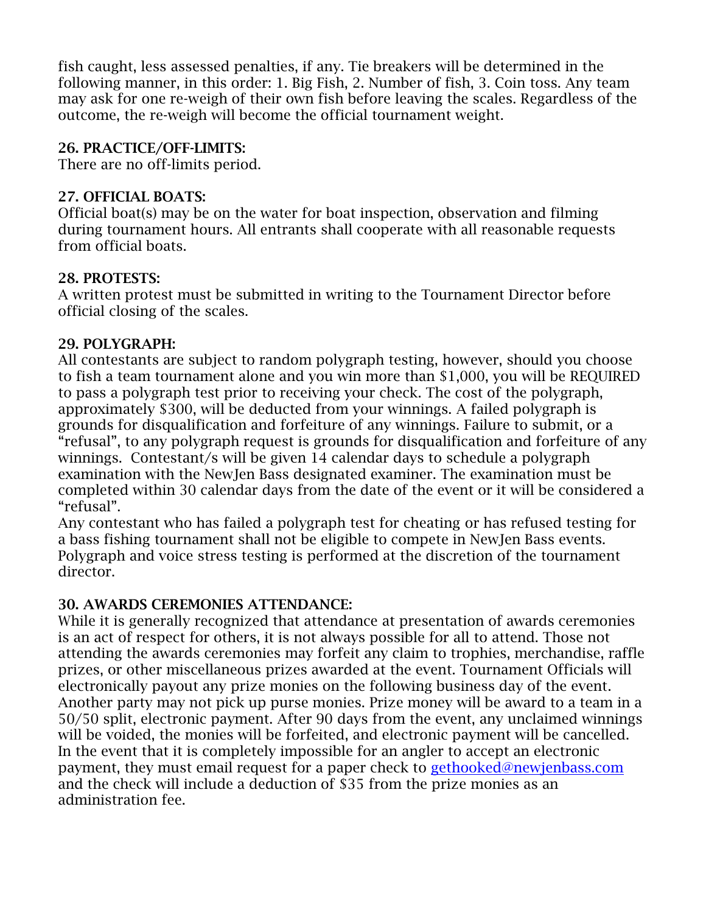fish caught, less assessed penalties, if any. Tie breakers will be determined in the following manner, in this order: 1. Big Fish, 2. Number of fish, 3. Coin toss. Any team may ask for one re-weigh of their own fish before leaving the scales. Regardless of the outcome, the re-weigh will become the official tournament weight.

## 26. PRACTICE/OFF-LIMITS:

There are no off-limits period.

### 27. OFFICIAL BOATS:

Official boat(s) may be on the water for boat inspection, observation and filming during tournament hours. All entrants shall cooperate with all reasonable requests from official boats.

### 28. PROTESTS:

A written protest must be submitted in writing to the Tournament Director before official closing of the scales.

### 29. POLYGRAPH:

All contestants are subject to random polygraph testing, however, should you choose to fish a team tournament alone and you win more than \$1,000, you will be REQUIRED to pass a polygraph test prior to receiving your check. The cost of the polygraph, approximately \$300, will be deducted from your winnings. A failed polygraph is grounds for disqualification and forfeiture of any winnings. Failure to submit, or a "refusal", to any polygraph request is grounds for disqualification and forfeiture of any winnings. Contestant/s will be given 14 calendar days to schedule a polygraph examination with the NewJen Bass designated examiner. The examination must be completed within 30 calendar days from the date of the event or it will be considered a "refusal".

Any contestant who has failed a polygraph test for cheating or has refused testing for a bass fishing tournament shall not be eligible to compete in NewJen Bass events. Polygraph and voice stress testing is performed at the discretion of the tournament director.

### 30. AWARDS CEREMONIES ATTENDANCE:

While it is generally recognized that attendance at presentation of awards ceremonies is an act of respect for others, it is not always possible for all to attend. Those not attending the awards ceremonies may forfeit any claim to trophies, merchandise, raffle prizes, or other miscellaneous prizes awarded at the event. Tournament Officials will electronically payout any prize monies on the following business day of the event. Another party may not pick up purse monies. Prize money will be award to a team in a 50/50 split, electronic payment. After 90 days from the event, any unclaimed winnings will be voided, the monies will be forfeited, and electronic payment will be cancelled. In the event that it is completely impossible for an angler to accept an electronic payment, they must email request for a paper check to [gethooked@newjenbass.com](mailto:gethooked@newjenbass.com) and the check will include a deduction of \$35 from the prize monies as an administration fee.